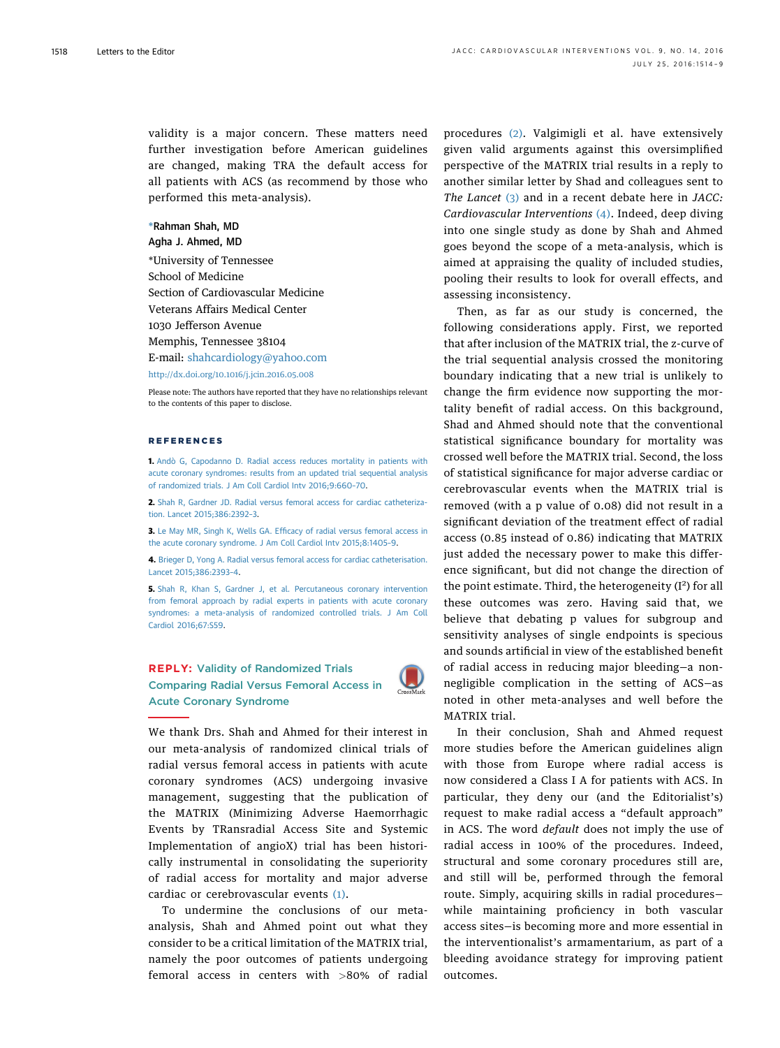validity is a major concern. These matters need further investigation before American guidelines are changed, making TRA the default access for all patients with ACS (as recommend by those who performed this meta-analysis).

## \*Rahman Shah, MD Agha J. Ahmed, MD

\*University of Tennessee School of Medicine Section of Cardiovascular Medicine Veterans Affairs Medical Center 1030 Jefferson Avenue Memphis, Tennessee 38104 E-mail: [shahcardiology@yahoo.com](mailto:shahcardiology@yahoo.com)

<http://dx.doi.org/10.1016/j.jcin.2016.05.008>

Please note: The authors have reported that they have no relationships relevant to the contents of this paper to disclose.

## *DEEEDENCES*

1. [Andò G, Capodanno D. Radial access reduces mortality in patients with](http://refhub.elsevier.com/S1936-8798(16)30585-4/sref1) [acute coronary syndromes: results from an updated trial sequential analysis](http://refhub.elsevier.com/S1936-8798(16)30585-4/sref1) [of randomized trials. J Am Coll Cardiol Intv 2016;9:660](http://refhub.elsevier.com/S1936-8798(16)30585-4/sref1)–70.

2. [Shah R, Gardner JD. Radial versus femoral access for cardiac catheteriza](http://refhub.elsevier.com/S1936-8798(16)30585-4/sref2)[tion. Lancet 2015;386:2392](http://refhub.elsevier.com/S1936-8798(16)30585-4/sref2)–3.

3. Le May MR, Singh K, Wells GA. Effi[cacy of radial versus femoral access in](http://refhub.elsevier.com/S1936-8798(16)30585-4/sref3) [the acute coronary syndrome. J Am Coll Cardiol Intv 2015;8:1405](http://refhub.elsevier.com/S1936-8798(16)30585-4/sref3)–9.

4. [Brieger D, Yong A. Radial versus femoral access for cardiac catheterisation.](http://refhub.elsevier.com/S1936-8798(16)30585-4/sref4) [Lancet 2015;386:2393](http://refhub.elsevier.com/S1936-8798(16)30585-4/sref4)–4.

5. [Shah R, Khan S, Gardner J, et al. Percutaneous coronary intervention](http://refhub.elsevier.com/S1936-8798(16)30585-4/sref5) [from femoral approach by radial experts in patients with acute coronary](http://refhub.elsevier.com/S1936-8798(16)30585-4/sref5) [syndromes: a meta-analysis of randomized controlled trials. J Am Coll](http://refhub.elsevier.com/S1936-8798(16)30585-4/sref5) [Cardiol 2016;67:S59.](http://refhub.elsevier.com/S1936-8798(16)30585-4/sref5)





We thank Drs. Shah and Ahmed for their interest in our meta-analysis of randomized clinical trials of radial versus femoral access in patients with acute coronary syndromes (ACS) undergoing invasive management, suggesting that the publication of the MATRIX (Minimizing Adverse Haemorrhagic Events by TRansradial Access Site and Systemic Implementation of angioX) trial has been historically instrumental in consolidating the superiority of radial access for mortality and major adverse cardiac or cerebrovascular events [\(1\)](#page-1-0).

To undermine the conclusions of our metaanalysis, Shah and Ahmed point out what they consider to be a critical limitation of the MATRIX trial, namely the poor outcomes of patients undergoing femoral access in centers with >80% of radial procedures [\(2\)](#page-1-0). Valgimigli et al. have extensively given valid arguments against this oversimplified perspective of the MATRIX trial results in a reply to another similar letter by Shad and colleagues sent to The Lancet [\(3\)](#page-1-0) and in a recent debate here in JACC: Cardiovascular Interventions [\(4\)](#page-1-0). Indeed, deep diving into one single study as done by Shah and Ahmed goes beyond the scope of a meta-analysis, which is aimed at appraising the quality of included studies, pooling their results to look for overall effects, and assessing inconsistency.

Then, as far as our study is concerned, the following considerations apply. First, we reported that after inclusion of the MATRIX trial, the z-curve of the trial sequential analysis crossed the monitoring boundary indicating that a new trial is unlikely to change the firm evidence now supporting the mortality benefit of radial access. On this background, Shad and Ahmed should note that the conventional statistical significance boundary for mortality was crossed well before the MATRIX trial. Second, the loss of statistical significance for major adverse cardiac or cerebrovascular events when the MATRIX trial is removed (with a p value of 0.08) did not result in a significant deviation of the treatment effect of radial access (0.85 instead of 0.86) indicating that MATRIX just added the necessary power to make this difference significant, but did not change the direction of the point estimate. Third, the heterogeneity ( $I^2$ ) for all these outcomes was zero. Having said that, we believe that debating p values for subgroup and sensitivity analyses of single endpoints is specious and sounds artificial in view of the established benefit of radial access in reducing major bleeding—a nonnegligible complication in the setting of ACS—as noted in other meta-analyses and well before the MATRIX trial.

In their conclusion, Shah and Ahmed request more studies before the American guidelines align with those from Europe where radial access is now considered a Class I A for patients with ACS. In particular, they deny our (and the Editorialist's) request to make radial access a "default approach" in ACS. The word default does not imply the use of radial access in 100% of the procedures. Indeed, structural and some coronary procedures still are, and still will be, performed through the femoral route. Simply, acquiring skills in radial procedures while maintaining proficiency in both vascular access sites—is becoming more and more essential in the interventionalist's armamentarium, as part of a bleeding avoidance strategy for improving patient outcomes.